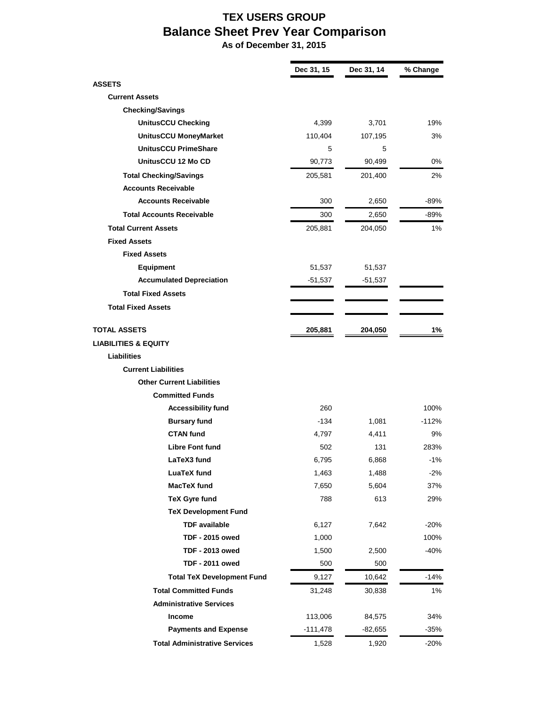## **TEX USERS GROUP Balance Sheet Prev Year Comparison**

 **As of December 31, 2015**

 $\blacksquare$ 

|                                      | Dec 31, 15 | Dec 31, 14 | % Change |
|--------------------------------------|------------|------------|----------|
| <b>ASSETS</b>                        |            |            |          |
| <b>Current Assets</b>                |            |            |          |
| <b>Checking/Savings</b>              |            |            |          |
| <b>UnitusCCU Checking</b>            | 4,399      | 3,701      | 19%      |
| <b>UnitusCCU MoneyMarket</b>         | 110,404    | 107,195    | 3%       |
| <b>UnitusCCU PrimeShare</b>          | 5          | 5          |          |
| UnitusCCU 12 Mo CD                   | 90,773     | 90,499     | 0%       |
| <b>Total Checking/Savings</b>        | 205,581    | 201,400    | 2%       |
| <b>Accounts Receivable</b>           |            |            |          |
| <b>Accounts Receivable</b>           | 300        | 2,650      | -89%     |
| <b>Total Accounts Receivable</b>     | 300        | 2,650      | -89%     |
| <b>Total Current Assets</b>          | 205,881    | 204,050    | 1%       |
| <b>Fixed Assets</b>                  |            |            |          |
| <b>Fixed Assets</b>                  |            |            |          |
| <b>Equipment</b>                     | 51,537     | 51,537     |          |
| <b>Accumulated Depreciation</b>      | $-51,537$  | $-51,537$  |          |
| <b>Total Fixed Assets</b>            |            |            |          |
| <b>Total Fixed Assets</b>            |            |            |          |
| <b>TOTAL ASSETS</b>                  | 205,881    | 204,050    | 1%       |
| <b>LIABILITIES &amp; EQUITY</b>      |            |            |          |
| <b>Liabilities</b>                   |            |            |          |
| <b>Current Liabilities</b>           |            |            |          |
| <b>Other Current Liabilities</b>     |            |            |          |
| <b>Committed Funds</b>               |            |            |          |
| <b>Accessibility fund</b>            | 260        |            | 100%     |
| <b>Bursary fund</b>                  | -134       | 1,081      | $-112%$  |
| <b>CTAN fund</b>                     | 4,797      | 4,411      | 9%       |
| <b>Libre Font fund</b>               | 502        | 131        | 283%     |
| LaTeX3 fund                          | 6,795      | 6,868      | $-1%$    |
| <b>LuaTeX fund</b>                   | 1,463      | 1,488      | $-2%$    |
| <b>MacTeX fund</b>                   | 7,650      | 5,604      | 37%      |
| <b>TeX Gyre fund</b>                 | 788        | 613        | 29%      |
| <b>TeX Development Fund</b>          |            |            |          |
| <b>TDF</b> available                 | 6,127      | 7,642      | $-20%$   |
| <b>TDF - 2015 owed</b>               | 1,000      |            | 100%     |
| <b>TDF - 2013 owed</b>               | 1,500      | 2,500      | $-40%$   |
| <b>TDF - 2011 owed</b>               | 500        | 500        |          |
| <b>Total TeX Development Fund</b>    | 9,127      | 10,642     | $-14%$   |
| <b>Total Committed Funds</b>         | 31,248     | 30,838     | $1\%$    |
| <b>Administrative Services</b>       |            |            |          |
| Income                               | 113,006    | 84,575     | 34%      |
| <b>Payments and Expense</b>          | $-111,478$ | $-82,655$  | $-35%$   |
| <b>Total Administrative Services</b> | 1,528      | 1,920      | $-20%$   |